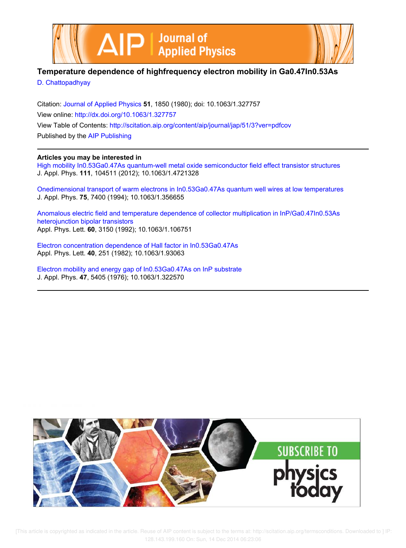



## **Temperature dependence of highfrequency electron mobility in Ga0.47In0.53As**

D. Chattopadhyay

Citation: Journal of Applied Physics **51**, 1850 (1980); doi: 10.1063/1.327757 View online: http://dx.doi.org/10.1063/1.327757 View Table of Contents: http://scitation.aip.org/content/aip/journal/jap/51/3?ver=pdfcov Published by the AIP Publishing

## **Articles you may be interested in**

High mobility In0.53Ga0.47As quantum-well metal oxide semiconductor field effect transistor structures J. Appl. Phys. **111**, 104511 (2012); 10.1063/1.4721328

Onedimensional transport of warm electrons in In0.53Ga0.47As quantum well wires at low temperatures J. Appl. Phys. **75**, 7400 (1994); 10.1063/1.356655

Anomalous electric field and temperature dependence of collector multiplication in InP/Ga0.47In0.53As heterojunction bipolar transistors Appl. Phys. Lett. **60**, 3150 (1992); 10.1063/1.106751

Electron concentration dependence of Hall factor in In0.53Ga0.47As Appl. Phys. Lett. **40**, 251 (1982); 10.1063/1.93063

Electron mobility and energy gap of In0.53Ga0.47As on InP substrate J. Appl. Phys. **47**, 5405 (1976); 10.1063/1.322570

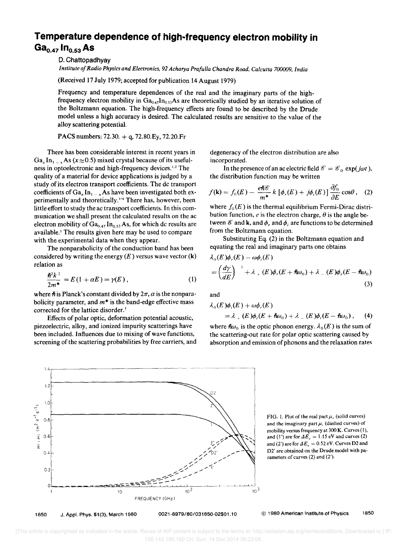## **Temperature dependence of high-frequency electron mobility in Gao.47Ino.s3 As**

D.Chattopadhyay

*Institute of Radio Physics and Electronics,* 92 *Acharya Prafulla Chandra Road, Calcutta 700009, India* 

(Received 17 July 1979; accepted for publication 14 August 1979)

Frequency and temperature dependences of the real and the imaginary parts of the highfrequency electron mobility in  $Ga_{0.47}In_{0.53}As$  are theoretically studied by an iterative solution of the Boltzmann equation. The high-frequency effects are found to be described by the Drude model unless a high accuracy is desired. The calculated results are sensitive to the value of the alloy scattering potential.

PACS numbers: 72.30. + q, 72.80.Ey, *n.20.Fr* 

There has been considerable interest in recent years in  $Ga_x In_{1-x}$ As ( $x \approx 0.5$ ) mixed crystal because of its usefulness in optoelectronic and high-frequency devices.<sup>1,2</sup> The quality of a material for device applications is judged by a study of its electron transport coefficients. The dc transport coefficients of Ga<sub>x</sub>In<sub>1 - x</sub>As have been investigated both experimentally and theoretically. 1-4 There has, however, been little effort to study the ac transport coefficients. In this communication we shall present the calculated results on the ac electron mobility of  $Ga_{0.47}$  In<sub>0.53</sub> As, for which dc results are available.<sup>1</sup> The results given here may be used to compare with the experimental data when they appear.

The nonparabolicity of the conduction band has been considered by writing the energy  $(E)$  versus wave vector  $(k)$ relation as

$$
\frac{\hbar^2 k^2}{2m^*} = E(1 + \alpha E) = \gamma(E), \qquad (1)
$$

where  $\tilde{n}$  is Planck's constant divided by  $2\pi$ ,  $\alpha$  is the nonparabolicity parameter, and  $m^*$  is the band-edge effective mass corrected for the lattice disorder.<sup>5</sup>

Effects of polar optic, deformation potential acoustic, piezoelectric, alloy, and ionized impurity scatterings have been included. Influences due to mixing of wave functions, screening of the scattering probabilities by free carriers, and degeneracy of the electron distribution are also incorporated.

In the presence of an ac electric field  $\mathscr{E} = \mathscr{E}_0 \exp(j\omega t)$ , the distribution function may be written

$$
f(\mathbf{k}) = f_0(E) - \frac{e\hbar\mathscr{C}}{m^*} k \left[ \phi_r(E) + j\phi_i(E) \right] \frac{\partial f_0}{\partial E} \cos\theta, \quad (2)
$$

where  $f_0(E)$  is the thermal equilibrium Fermi-Dirac distribution function,  $e$  is the electron charge,  $\theta$  is the angle between  $\mathscr E$  and **k**, and  $\phi$ , and  $\phi$ , are functions to be determined from the Boltzmann equation.

Substituting Eq. (2) in the Boltzmann equation and equating the real and imaginary parts one obtains

$$
\lambda_0(E)\phi_r(E) - \omega\phi_i(E)
$$
\n
$$
= \left(\frac{d\gamma}{dE}\right)^{-1} + \lambda_+(E)\phi_r(E + \hbar\omega_0) + \lambda_-(E)\phi_r(E - \hbar\omega_0)
$$
\n(3)

and

$$
\lambda_0(E)\phi_i(E) + \omega\phi_r(E)
$$
  
=  $\lambda_+(E)\phi_i(E + \hbar\omega_0) + \lambda_-(E)\phi_i(E - \hbar\omega_0),$  (4)

where  $\hbar \omega_0$  is the optic phonon energy.  $\lambda_0(E)$  is the sum of the scattering-out rate for polar optic scattering caused by absorption and emission of phonons and the relaxation rates



FIG. 1. Plot of the real part  $\mu$ , (solid curves) and the imaginary part  $\mu_i$  (dashed curves) of mobility versus frequency at 300 K. Curves (I), and (1') are for  $\Delta E_a = 1.15$  eV and curves (2) and (2') are for  $\Delta E_a = 0.52$  eV. Curves D2 and 02' are obtained on the Orude model with parameters of curves (2) and (2').

 [This article is copyrighted as indicated in the article. Reuse of AIP content is subject to the terms at: http://scitation.aip.org/termsconditions. Downloaded to ] IP: 128.143.199.160 On: Sun, 14 Dec 2014 06:23:06